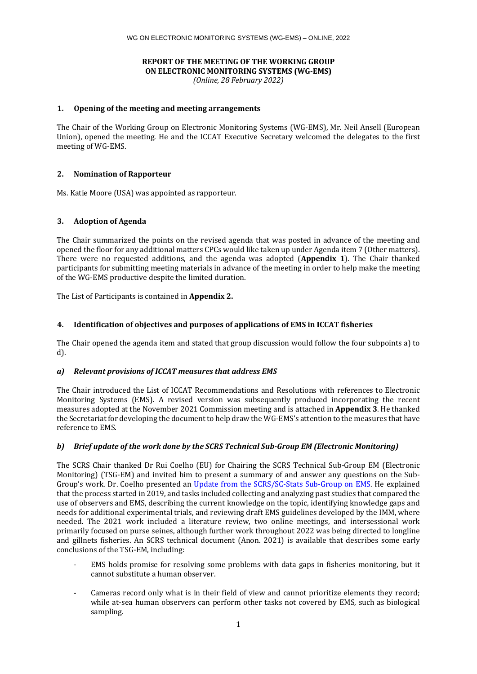# **REPORT OF THE MEETING OF THE WORKING GROUP ON ELECTRONIC MONITORING SYSTEMS (WG-EMS)**

*(Online, 28 February 2022)*

# **1. Opening of the meeting and meeting arrangements**

The Chair of the Working Group on Electronic Monitoring Systems (WG-EMS), Mr. Neil Ansell (European Union), opened the meeting. He and the ICCAT Executive Secretary welcomed the delegates to the first meeting of WG-EMS.

# **2. Nomination of Rapporteur**

Ms. Katie Moore (USA) was appointed as rapporteur.

# **3. Adoption of Agenda**

The Chair summarized the points on the revised agenda that was posted in advance of the meeting and opened the floor for any additional matters CPCs would like taken up under Agenda item 7 (Other matters). There were no requested additions, and the agenda was adopted (**Appendix 1**). The Chair thanked participants for submitting meeting materials in advance of the meeting in order to help make the meeting of the WG-EMS productive despite the limited duration.

The List of Participants is contained in **Appendix 2.** 

# **4. Identification of objectives and purposes of applications of EMS in ICCAT fisheries**

The Chair opened the agenda item and stated that group discussion would follow the four subpoints a) to d).

# *a) Relevant provisions of ICCAT measures that address EMS*

The Chair introduced the List of ICCAT Recommendations and Resolutions with references to Electronic Monitoring Systems (EMS). A revised version was subsequently produced incorporating the recent measures adopted at the November 2021 Commission meeting and is attached in **Appendix 3**. He thanked the Secretariat for developing the document to help draw the WG-EMS's attention to the measures that have reference to EMS.

# *b) Brief update of the work done by the SCRS Technical Sub-Group EM (Electronic Monitoring)*

The SCRS Chair thanked Dr Rui Coelho (EU) for Chairing the SCRS Technical Sub-Group EM (Electronic Monitoring) (TSG-EM) and invited him to present a summary of and answer any questions on the Sub-Group's work. Dr. Coelho presented an [Update from the SCRS/SC-Stats Sub-Group on EMS.](https://meetings.iccat.int/index.php/s/lQP9NBIkq0vuoFg?path=%2FFebruary_meeting) He explained that the process started in 2019, and tasks included collecting and analyzing past studies that compared the use of observers and EMS, describing the current knowledge on the topic, identifying knowledge gaps and needs for additional experimental trials, and reviewing draft EMS guidelines developed by the IMM, where needed. The 2021 work included a literature review, two online meetings, and intersessional work primarily focused on purse seines, although further work throughout 2022 was being directed to longline and gillnets fisheries. An SCRS technical document (Anon. 2021) is available that describes some early conclusions of the TSG-EM, including:

- EMS holds promise for resolving some problems with data gaps in fisheries monitoring, but it cannot substitute a human observer.
- Cameras record only what is in their field of view and cannot prioritize elements they record; while at-sea human observers can perform other tasks not covered by EMS, such as biological sampling.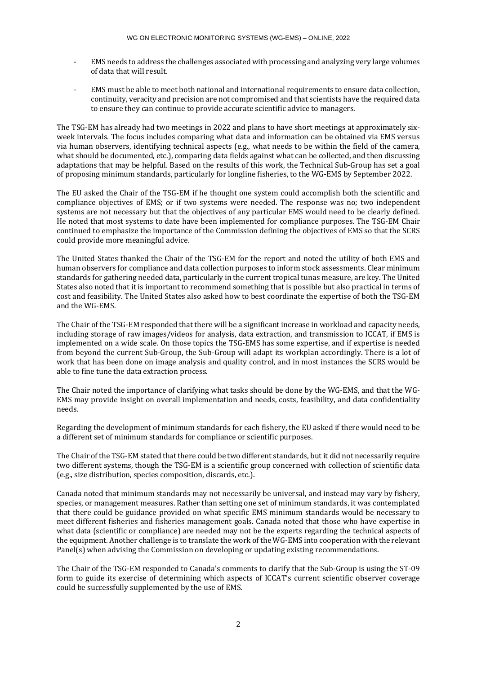- EMS needs to address the challenges associated with processing and analyzing very large volumes of data that will result.
- EMS must be able to meet both national and international requirements to ensure data collection, continuity, veracity and precision are not compromised and that scientists have the required data to ensure they can continue to provide accurate scientific advice to managers.

The TSG-EM has already had two meetings in 2022 and plans to have short meetings at approximately sixweek intervals. The focus includes comparing what data and information can be obtained via EMS versus via human observers, identifying technical aspects (e.g., what needs to be within the field of the camera, what should be documented, etc.), comparing data fields against what can be collected, and then discussing adaptations that may be helpful. Based on the results of this work, the Technical Sub-Group has set a goal of proposing minimum standards, particularly for longline fisheries, to the WG-EMS by September 2022.

The EU asked the Chair of the TSG-EM if he thought one system could accomplish both the scientific and compliance objectives of EMS; or if two systems were needed. The response was no; two independent systems are not necessary but that the objectives of any particular EMS would need to be clearly defined. He noted that most systems to date have been implemented for compliance purposes. The TSG-EM Chair continued to emphasize the importance of the Commission defining the objectives of EMS so that the SCRS could provide more meaningful advice.

The United States thanked the Chair of the TSG-EM for the report and noted the utility of both EMS and human observers for compliance and data collection purposes to inform stock assessments. Clear minimum standards for gathering needed data, particularly in the current tropical tunas measure, are key. The United States also noted that it is important to recommend something that is possible but also practical in terms of cost and feasibility. The United States also asked how to best coordinate the expertise of both the TSG-EM and the WG-EMS.

The Chair of the TSG-EM responded that there will be a significant increase in workload and capacity needs, including storage of raw images/videos for analysis, data extraction, and transmission to ICCAT, if EMS is implemented on a wide scale. On those topics the TSG-EMS has some expertise, and if expertise is needed from beyond the current Sub-Group, the Sub-Group will adapt its workplan accordingly. There is a lot of work that has been done on image analysis and quality control, and in most instances the SCRS would be able to fine tune the data extraction process.

The Chair noted the importance of clarifying what tasks should be done by the WG-EMS, and that the WG-EMS may provide insight on overall implementation and needs, costs, feasibility, and data confidentiality needs.

Regarding the development of minimum standards for each fishery, the EU asked if there would need to be a different set of minimum standards for compliance or scientific purposes.

The Chair of the TSG-EM stated that there could be two different standards, but it did not necessarily require two different systems, though the TSG-EM is a scientific group concerned with collection of scientific data (e.g., size distribution, species composition, discards, etc.).

Canada noted that minimum standards may not necessarily be universal, and instead may vary by fishery, species, or management measures. Rather than setting one set of minimum standards, it was contemplated that there could be guidance provided on what specific EMS minimum standards would be necessary to meet different fisheries and fisheries management goals. Canada noted that those who have expertise in what data (scientific or compliance) are needed may not be the experts regarding the technical aspects of the equipment. Another challenge is to translate the work of the WG-EMS into cooperation with the relevant Panel(s) when advising the Commission on developing or updating existing recommendations.

The Chair of the TSG-EM responded to Canada's comments to clarify that the Sub-Group is using the ST-09 form to guide its exercise of determining which aspects of ICCAT's current scientific observer coverage could be successfully supplemented by the use of EMS.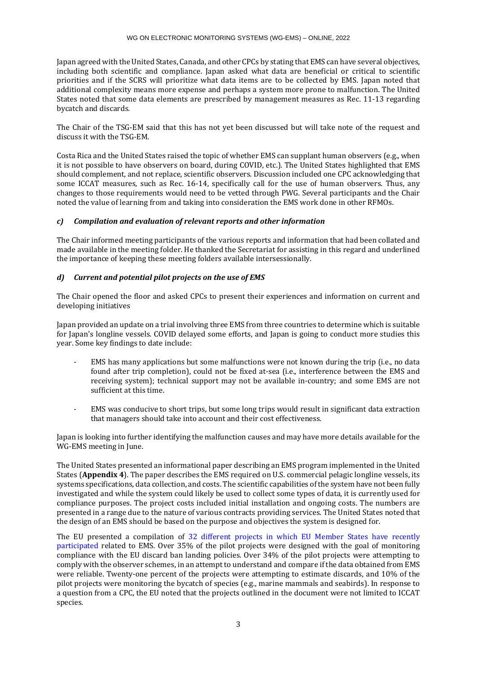Japan agreed with the United States, Canada, and other CPCs by stating that EMS can have several objectives, including both scientific and compliance. Japan asked what data are beneficial or critical to scientific priorities and if the SCRS will prioritize what data items are to be collected by EMS. Japan noted that additional complexity means more expense and perhaps a system more prone to malfunction. The United States noted that some data elements are prescribed by management measures as Rec. 11-13 regarding bycatch and discards.

The Chair of the TSG-EM said that this has not yet been discussed but will take note of the request and discuss it with the TSG-EM.

Costa Rica and the United States raised the topic of whether EMS can supplant human observers (e.g., when it is not possible to have observers on board, during COVID, etc.). The United States highlighted that EMS should complement, and not replace, scientific observers. Discussion included one CPC acknowledging that some ICCAT measures, such as Rec. 16-14, specifically call for the use of human observers. Thus, any changes to those requirements would need to be vetted through PWG. Several participants and the Chair noted the value of learning from and taking into consideration the EMS work done in other RFMOs.

# *c) Compilation and evaluation of relevant reports and other information*

The Chair informed meeting participants of the various reports and information that had been collated and made available in the meeting folder. He thanked the Secretariat for assisting in this regard and underlined the importance of keeping these meeting folders available intersessionally.

# *d) Current and potential pilot projects on the use of EMS*

The Chair opened the floor and asked CPCs to present their experiences and information on current and developing initiatives

Japan provided an update on a trial involving three EMS from three countries to determine which is suitable for Japan's longline vessels. COVID delayed some efforts, and Japan is going to conduct more studies this year. Some key findings to date include:

- EMS has many applications but some malfunctions were not known during the trip (i.e., no data found after trip completion), could not be fixed at-sea (i.e., interference between the EMS and receiving system); technical support may not be available in-country; and some EMS are not sufficient at this time.
- EMS was conducive to short trips, but some long trips would result in significant data extraction that managers should take into account and their cost effectiveness.

Japan is looking into further identifying the malfunction causes and may have more details available for the WG-EMS meeting in June.

The United States presented an informational paper describing an EMS program implemented in the United States (**Appendix 4**). The paper describes the EMS required on U.S. commercial pelagic longline vessels, its systems specifications, data collection, and costs. The scientific capabilities of the system have not been fully investigated and while the system could likely be used to collect some types of data, it is currently used for compliance purposes. The project costs included initial installation and ongoing costs. The numbers are presented in a range due to the nature of various contracts providing services. The United States noted that the design of an EMS should be based on the purpose and objectives the system is designed for.

The EU presented a compilation of [32 different projects in which EU Member States have recently](https://meetings.iccat.int/index.php/s/lQP9NBIkq0vuoFg?path=%2FFebruary_meeting%2FDocs_ENG)  [participated](https://meetings.iccat.int/index.php/s/lQP9NBIkq0vuoFg?path=%2FFebruary_meeting%2FDocs_ENG) related to EMS. Over 35% of the pilot projects were designed with the goal of monitoring compliance with the EU discard ban landing policies. Over 34% of the pilot projects were attempting to comply with the observer schemes, in an attempt to understand and compare if the data obtained from EMS were reliable. Twenty-one percent of the projects were attempting to estimate discards, and 10% of the pilot projects were monitoring the bycatch of species (e.g., marine mammals and seabirds). In response to a question from a CPC, the EU noted that the projects outlined in the document were not limited to ICCAT species.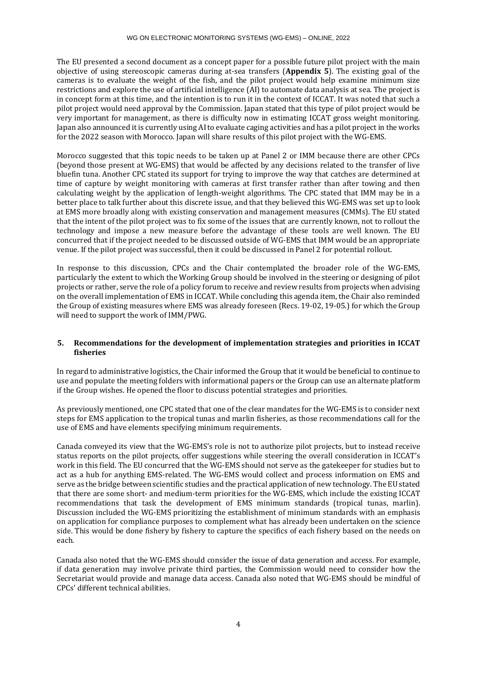The EU presented a second document as a concept paper for a possible future pilot project with the main objective of using stereoscopic cameras during at-sea transfers (**Appendix 5**). The existing goal of the cameras is to evaluate the weight of the fish, and the pilot project would help examine minimum size restrictions and explore the use of artificial intelligence (AI) to automate data analysis at sea. The project is in concept form at this time, and the intention is to run it in the context of ICCAT. It was noted that such a pilot project would need approval by the Commission. Japan stated that this type of pilot project would be very important for management, as there is difficulty now in estimating ICCAT gross weight monitoring. Japan also announced it is currently using AI to evaluate caging activities and has a pilot project in the works for the 2022 season with Morocco. Japan will share results of this pilot project with the WG-EMS.

Morocco suggested that this topic needs to be taken up at Panel 2 or IMM because there are other CPCs (beyond those present at WG-EMS) that would be affected by any decisions related to the transfer of live bluefin tuna. Another CPC stated its support for trying to improve the way that catches are determined at time of capture by weight monitoring with cameras at first transfer rather than after towing and then calculating weight by the application of length-weight algorithms. The CPC stated that IMM may be in a better place to talk further about this discrete issue, and that they believed this WG-EMS was set up to look at EMS more broadly along with existing conservation and management measures (CMMs). The EU stated that the intent of the pilot project was to fix some of the issues that are currently known, not to rollout the technology and impose a new measure before the advantage of these tools are well known. The EU concurred that if the project needed to be discussed outside of WG-EMS that IMM would be an appropriate venue. If the pilot project was successful, then it could be discussed in Panel 2 for potential rollout.

In response to this discussion, CPCs and the Chair contemplated the broader role of the WG-EMS, particularly the extent to which the Working Group should be involved in the steering or designing of pilot projects or rather, serve the role of a policy forum to receive and review results from projects when advising on the overall implementation of EMS in ICCAT. While concluding this agenda item, the Chair also reminded the Group of existing measures where EMS was already foreseen (Recs. 19-02, 19-05.) for which the Group will need to support the work of IMM/PWG.

# **5. Recommendations for the development of implementation strategies and priorities in ICCAT fisheries**

In regard to administrative logistics, the Chair informed the Group that it would be beneficial to continue to use and populate the meeting folders with informational papers or the Group can use an alternate platform if the Group wishes. He opened the floor to discuss potential strategies and priorities.

As previously mentioned, one CPC stated that one of the clear mandates for the WG-EMS is to consider next steps for EMS application to the tropical tunas and marlin fisheries, as those recommendations call for the use of EMS and have elements specifying minimum requirements.

Canada conveyed its view that the WG-EMS's role is not to authorize pilot projects, but to instead receive status reports on the pilot projects, offer suggestions while steering the overall consideration in ICCAT's work in this field. The EU concurred that the WG-EMS should not serve as the gatekeeper for studies but to act as a hub for anything EMS-related. The WG-EMS would collect and process information on EMS and serve as the bridge between scientific studies and the practical application of new technology. The EU stated that there are some short- and medium-term priorities for the WG-EMS, which include the existing ICCAT recommendations that task the development of EMS minimum standards (tropical tunas, marlin). Discussion included the WG-EMS prioritizing the establishment of minimum standards with an emphasis on application for compliance purposes to complement what has already been undertaken on the science side. This would be done fishery by fishery to capture the specifics of each fishery based on the needs on each.

Canada also noted that the WG-EMS should consider the issue of data generation and access. For example, if data generation may involve private third parties, the Commission would need to consider how the Secretariat would provide and manage data access. Canada also noted that WG-EMS should be mindful of CPCs' different technical abilities.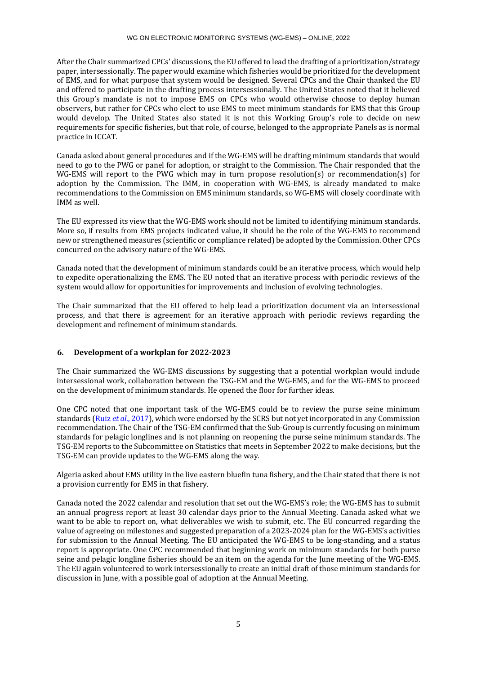After the Chair summarized CPCs' discussions, the EU offered to lead the drafting of a prioritization/strategy paper, intersessionally. The paper would examine which fisheries would be prioritized for the development of EMS, and for what purpose that system would be designed. Several CPCs and the Chair thanked the EU and offered to participate in the drafting process intersessionally. The United States noted that it believed this Group's mandate is not to impose EMS on CPCs who would otherwise choose to deploy human observers, but rather for CPCs who elect to use EMS to meet minimum standards for EMS that this Group would develop. The United States also stated it is not this Working Group's role to decide on new requirements for specific fisheries, but that role, of course, belonged to the appropriate Panels as is normal practice in ICCAT.

Canada asked about general procedures and if the WG-EMS will be drafting minimum standards that would need to go to the PWG or panel for adoption, or straight to the Commission. The Chair responded that the WG-EMS will report to the PWG which may in turn propose resolution(s) or recommendation(s) for adoption by the Commission. The IMM, in cooperation with WG-EMS, is already mandated to make recommendations to the Commission on EMS minimum standards, so WG-EMS will closely coordinate with IMM as well.

The EU expressed its view that the WG-EMS work should not be limited to identifying minimum standards. More so, if results from EMS projects indicated value, it should be the role of the WG-EMS to recommend new or strengthened measures (scientific or compliance related) be adopted by the Commission. Other CPCs concurred on the advisory nature of the WG-EMS.

Canada noted that the development of minimum standards could be an iterative process, which would help to expedite operationalizing the EMS. The EU noted that an iterative process with periodic reviews of the system would allow for opportunities for improvements and inclusion of evolving technologies.

The Chair summarized that the EU offered to help lead a prioritization document via an intersessional process, and that there is agreement for an iterative approach with periodic reviews regarding the development and refinement of minimum standards.

# **6. Development of a workplan for 2022-2023**

The Chair summarized the WG-EMS discussions by suggesting that a potential workplan would include intersessional work, collaboration between the TSG-EM and the WG-EMS, and for the WG-EMS to proceed on the development of minimum standards. He opened the floor for further ideas.

One CPC noted that one important task of the WG-EMS could be to review the purse seine minimum standards [\(Ruiz](https://www.iccat.int/Documents/CVSP/CV073_2017/n_2/CV073020818.pdf) *[et al](https://www.iccat.int/Documents/CVSP/CV073_2017/n_2/CV073020818.pdf)*[., 2017\)](https://www.iccat.int/Documents/CVSP/CV073_2017/n_2/CV073020818.pdf), which were endorsed by the SCRS but not yet incorporated in any Commission recommendation. The Chair of the TSG-EM confirmed that the Sub-Group is currently focusing on minimum standards for pelagic longlines and is not planning on reopening the purse seine minimum standards. The TSG-EM reports to the Subcommittee on Statistics that meets in September 2022 to make decisions, but the TSG-EM can provide updates to the WG-EMS along the way.

Algeria asked about EMS utility in the live eastern bluefin tuna fishery, and the Chair stated that there is not a provision currently for EMS in that fishery.

Canada noted the 2022 calendar and resolution that set out the WG-EMS's role; the WG-EMS has to submit an annual progress report at least 30 calendar days prior to the Annual Meeting. Canada asked what we want to be able to report on, what deliverables we wish to submit, etc. The EU concurred regarding the value of agreeing on milestones and suggested preparation of a 2023-2024 plan for the WG-EMS's activities for submission to the Annual Meeting. The EU anticipated the WG-EMS to be long-standing, and a status report is appropriate. One CPC recommended that beginning work on minimum standards for both purse seine and pelagic longline fisheries should be an item on the agenda for the June meeting of the WG-EMS. The EU again volunteered to work intersessionally to create an initial draft of those minimum standards for discussion in June, with a possible goal of adoption at the Annual Meeting.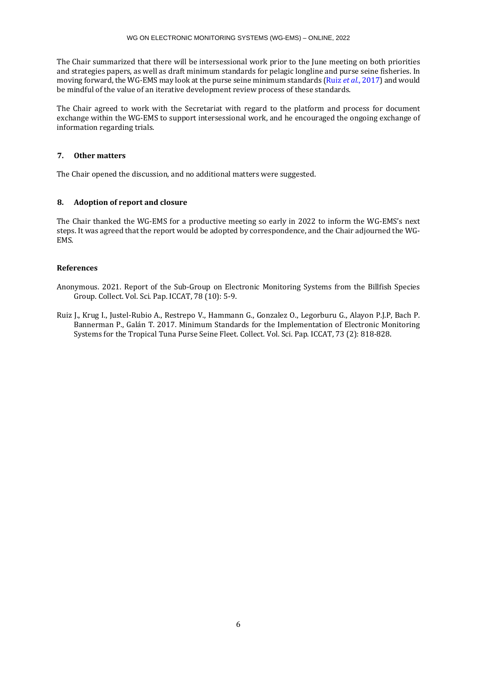The Chair summarized that there will be intersessional work prior to the June meeting on both priorities and strategies papers, as well as draft minimum standards for pelagic longline and purse seine fisheries. In moving forward, the WG-EMS may look at the purse seine minimum standards [\(Ruiz](https://www.iccat.int/Documents/CVSP/CV073_2017/n_2/CV073020818.pdf) *[et al](https://www.iccat.int/Documents/CVSP/CV073_2017/n_2/CV073020818.pdf)*[., 2017\)](https://www.iccat.int/Documents/CVSP/CV073_2017/n_2/CV073020818.pdf) and would be mindful of the value of an iterative development review process of these standards.

The Chair agreed to work with the Secretariat with regard to the platform and process for document exchange within the WG-EMS to support intersessional work, and he encouraged the ongoing exchange of information regarding trials.

# **7. Other matters**

The Chair opened the discussion, and no additional matters were suggested.

# **8. Adoption of report and closure**

The Chair thanked the WG-EMS for a productive meeting so early in 2022 to inform the WG-EMS's next steps. It was agreed that the report would be adopted by correspondence, and the Chair adjourned the WG-EMS.

# **References**

- Anonymous. 2021. Report of the Sub-Group on Electronic Monitoring Systems from the Billfish Species Group. Collect. Vol. Sci. Pap. ICCAT, 78 (10): 5-9.
- Ruiz J., Krug I., Justel-Rubio A., Restrepo V., Hammann G., Gonzalez O., Legorburu G., Alayon P.J.P, Bach P. Bannerman P., Galán T. 2017. Minimum Standards for the Implementation of Electronic Monitoring Systems for the Tropical Tuna Purse Seine Fleet. Collect. Vol. Sci. Pap. ICCAT, 73 (2): 818-828.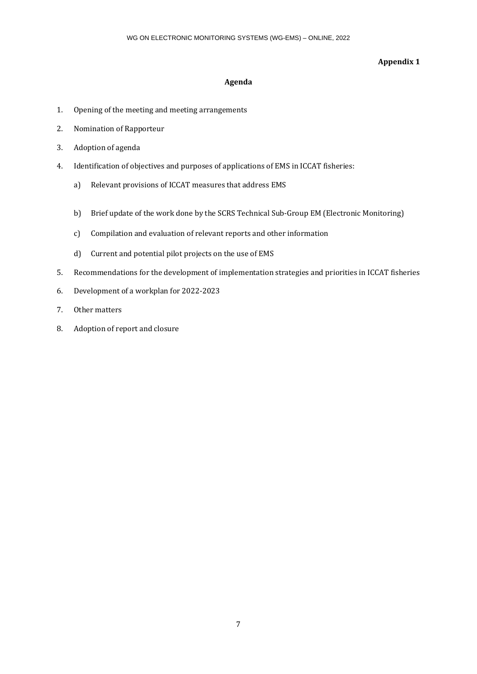# **Appendix 1**

# **Agenda**

- 1. Opening of the meeting and meeting arrangements
- 2. Nomination of Rapporteur
- 3. Adoption of agenda
- 4. Identification of objectives and purposes of applications of EMS in ICCAT fisheries:
	- a) Relevant provisions of ICCAT measures that address EMS
	- b) Brief update of the work done by the SCRS Technical Sub-Group EM (Electronic Monitoring)
	- c) Compilation and evaluation of relevant reports and other information
	- d) Current and potential pilot projects on the use of EMS
- 5. Recommendations for the development of implementation strategies and priorities in ICCAT fisheries
- 6. Development of a workplan for 2022-2023
- 7. Other matters
- 8. Adoption of report and closure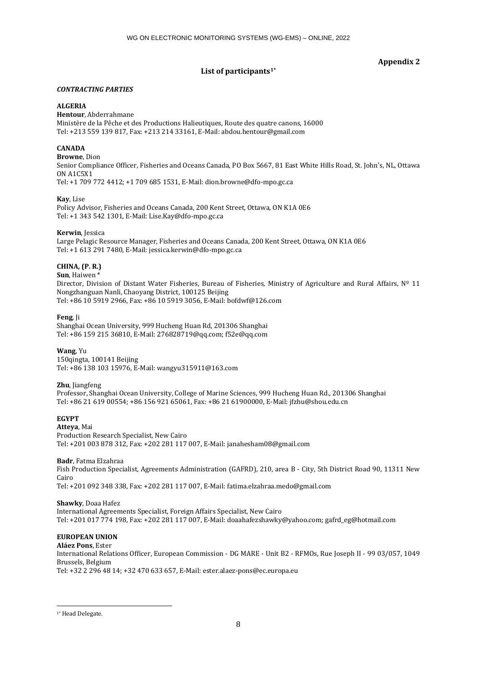## **Appendix 2**

## **List of participants[1\\*](#page-7-0)**

### *CONTRACTING PARTIES*

### **ALGERIA**

**Hentour**, Abderrahmane Ministère de la Pêche et des Productions Halieutiques, Route des quatre canons, 16000 Tel: +213 559 139 817, Fax: +213 214 33161, E-Mail: abdou.hentour@gmail.com

### **CANADA**

**Browne**, Dion Senior Compliance Officer, Fisheries and Oceans Canada, PO Box 5667, 81 East White Hills Road, St. John's, NL, Ottawa ON A1C5X1 Tel: +1 709 772 4412; +1 709 685 1531, E-Mail: dion.browne@dfo-mpo.gc.ca

### **Kay**, Lise

Policy Advisor, Fisheries and Oceans Canada, 200 Kent Street, Ottawa, ON K1A 0E6 Tel: +1 343 542 1301, E-Mail: Lise.Kay@dfo-mpo.gc.ca

### **Kerwin**, Jessica

Large Pelagic Resource Manager, Fisheries and Oceans Canada, 200 Kent Street, Ottawa, ON K1A 0E6 Tel: +1 613 291 7480, E-Mail: jessica.kerwin@dfo-mpo.gc.ca

## **CHINA, (P. R.)**

### **Sun**, Haiwen \*

Director, Division of Distant Water Fisheries, Bureau of Fisheries, Ministry of Agriculture and Rural Affairs, Nº 11 Nongzhanguan Nanli, Chaoyang District, 100125 Beijing Tel: +86 10 5919 2966, Fax: +86 10 5919 3056, E-Mail: bofdwf@126.com

### **Feng**, Ji

Shanghai Ocean University, 999 Hucheng Huan Rd, 201306 Shanghai Tel: +86 159 215 36810, E-Mail: 276828719@qq.com; f52e@qq.com

### **Wang**, Yu

150qingta, 100141 Beijing Tel: +86 138 103 15976, E-Mail: wangyu315911@163.com

### **Zhu**, Jiangfeng

Professor, Shanghai Ocean University, College of Marine Sciences, 999 Hucheng Huan Rd., 201306 Shanghai Tel: +86 21 619 00554; +86 156 921 65061, Fax: +86 21 61900000, E-Mail: jfzhu@shou.edu.cn

### **EGYPT**

**Atteya**, Mai Production Research Specialist, New Cairo Tel: +201 003 878 312, Fax: +202 281 117 007, E-Mail: janahesham08@gmail.com

### **Badr**, Fatma Elzahraa

Fish Production Specialist, Agreements Administration (GAFRD), 210, area B - City, 5th District Road 90, 11311 New Cairo

Tel: +201 092 348 338, Fax: +202 281 117 007, E-Mail: fatima.elzahraa.medo@gmail.com

### **Shawky**, Doaa Hafez

International Agreements Specialist, Foreign Affairs Specialist, New Cairo Tel: +201 017 774 198, Fax: +202 281 117 007, E-Mail: doaahafezshawky@yahoo.com; gafrd\_eg@hotmail.com

## **EUROPEAN UNION**

**Aláez Pons**, Ester

International Relations Officer, European Commission - DG MARE - Unit B2 - RFMOs, Rue Joseph II - 99 03/057, 1049 Brussels, Belgium

<span id="page-7-0"></span>Tel: +32 2 296 48 14; +32 470 633 657, E-Mail: ester.alaez-pons@ec.europa.eu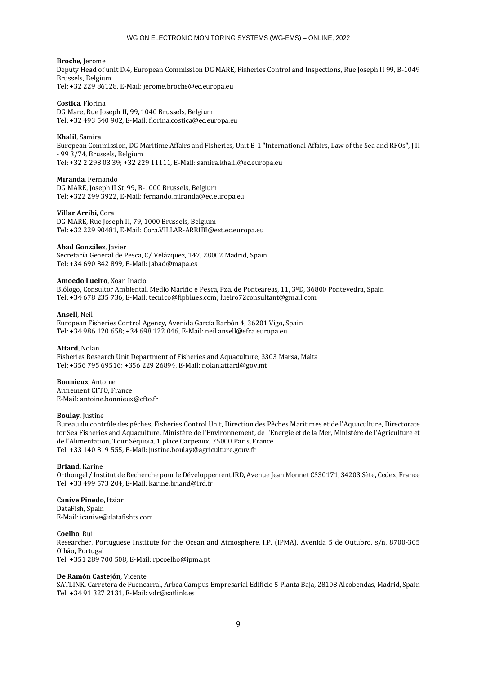### **Broche**, Jerome

Deputy Head of unit D.4, European Commission DG MARE, Fisheries Control and Inspections, Rue Joseph II 99, B-1049 Brussels, Belgium Tel: +32 229 86128, E-Mail: jerome.broche@ec.europa.eu

**Costica**, Florina DG Mare, Rue Joseph II, 99, 1040 Brussels, Belgium Tel: +32 493 540 902, E-Mail: florina.costica@ec.europa.eu

### **Khalil**, Samira

European Commission, DG Maritime Affairs and Fisheries, Unit B-1 "International Affairs, Law of the Sea and RFOs", J II - 99 3/74, Brussels, Belgium Tel: +32 2 298 03 39; +32 229 11111, E-Mail: samira.khalil@ec.europa.eu

#### **Miranda**, Fernando

DG MARE, Joseph II St, 99, B-1000 Brussels, Belgium Tel: +322 299 3922, E-Mail: fernando.miranda@ec.europa.eu

#### **Villar Arribi**, Cora

DG MARE, Rue Joseph II, 79, 1000 Brussels, Belgium Tel: +32 229 90481, E-Mail: Cora.VILLAR-ARRIBI@ext.ec.europa.eu

#### **Abad González**, Javier

Secretaría General de Pesca, C/ Velázquez, 147, 28002 Madrid, Spain Tel: +34 690 842 899, E-Mail: jabad@mapa.es

### **Amoedo Lueiro**, Xoan Inacio

Biólogo, Consultor Ambiental, Medio Mariño e Pesca, Pza. de Ponteareas, 11, 3ºD, 36800 Pontevedra, Spain Tel: +34 678 235 736, E-Mail: tecnico@fipblues.com; lueiro72consultant@gmail.com

#### **Ansell**, Neil

European Fisheries Control Agency, Avenida García Barbón 4, 36201 Vigo, Spain Tel: +34 986 120 658; +34 698 122 046, E-Mail: neil.ansell@efca.europa.eu

### **Attard**, Nolan

Fisheries Research Unit Department of Fisheries and Aquaculture, 3303 Marsa, Malta Tel: +356 795 69516; +356 229 26894, E-Mail: nolan.attard@gov.mt

### **Bonnieux**, Antoine

Armement CFTO, France E-Mail: antoine.bonnieux@cfto.fr

### **Boulay**, Justine

Bureau du contrôle des pêches, Fisheries Control Unit, Direction des Pêches Maritimes et de l'Aquaculture, Directorate for Sea Fisheries and Aquaculture, Ministère de l'Environnement, de l'Energie et de la Mer, Ministère de l'Agriculture et de l'Alimentation, Tour Séquoia, 1 place Carpeaux, 75000 Paris, France Tel: +33 140 819 555, E-Mail: justine.boulay@agriculture.gouv.fr

#### **Briand**, Karine

Orthongel / Institut de Recherche pour le Développement IRD, Avenue Jean Monnet CS30171, 34203 Sète, Cedex, France Tel: +33 499 573 204, E-Mail: karine.briand@ird.fr

### **Canive Pinedo**, Itziar

DataFish, Spain E-Mail: icanive@datafishts.com

### **Coelho**, Rui

Researcher, Portuguese Institute for the Ocean and Atmosphere, I.P. (IPMA), Avenida 5 de Outubro, s/n, 8700-305 Olhão, Portugal Tel: +351 289 700 508, E-Mail: rpcoelho@ipma.pt

#### **De Ramón Castejón**, Vicente

SATLINK, Carretera de Fuencarral, Arbea Campus Empresarial Edificio 5 Planta Baja, 28108 Alcobendas, Madrid, Spain Tel: +34 91 327 2131, E-Mail: vdr@satlink.es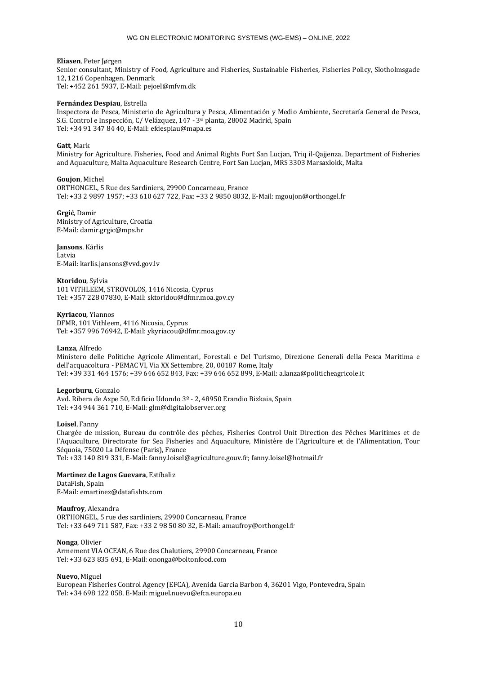**Eliasen**, Peter Jørgen Senior consultant, Ministry of Food, Agriculture and Fisheries, Sustainable Fisheries, Fisheries Policy, Slotholmsgade 12, 1216 Copenhagen, Denmark Tel: +452 261 5937, E-Mail: pejoel@mfvm.dk

#### **Fernández Despiau**, Estrella

Inspectora de Pesca, Ministerio de Agricultura y Pesca, Alimentación y Medio Ambiente, Secretaría General de Pesca, S.G. Control e Inspección, C/ Velázquez, 147 - 3ª planta, 28002 Madrid, Spain Tel: +34 91 347 84 40, E-Mail: efdespiau@mapa.es

#### **Gatt**, Mark

Ministry for Agriculture, Fisheries, Food and Animal Rights Fort San Lucjan, Triq il-Qajjenza, Department of Fisheries and Aquaculture, Malta Aquaculture Research Centre, Fort San Lucjan, MRS 3303 Marsaxlokk, Malta

### **Goujon**, Michel

ORTHONGEL, 5 Rue des Sardiniers, 29900 Concarneau, France Tel: +33 2 9897 1957; +33 610 627 722, Fax: +33 2 9850 8032, E-Mail: mgoujon@orthongel.fr

**Grgić**, Damir Ministry of Agriculture, Croatia E-Mail: damir.grgic@mps.hr

**Jansons**, Kārlis Latvia E-Mail: karlis.jansons@vvd.gov.lv

### **Ktoridou**, Sylvia

101 VITHLEEM, STROVOLOS, 1416 Nicosia, Cyprus Tel: +357 228 07830, E-Mail: sktoridou@dfmr.moa.gov.cy

### **Kyriacou**, Yiannos

DFMR, 101 Vithleem, 4116 Nicosia, Cyprus Tel: +357 996 76942, E-Mail: ykyriacou@dfmr.moa.gov.cy

### **Lanza**, Alfredo

Ministero delle Politiche Agricole Alimentari, Forestali e Del Turismo, Direzione Generali della Pesca Maritima e dell'acquacoltura - PEMAC VI, Via XX Settembre, 20, 00187 Rome, Italy Tel: +39 331 464 1576; +39 646 652 843, Fax: +39 646 652 899, E-Mail: a.lanza@politicheagricole.it

### **Legorburu**, Gonzalo

Avd. Ribera de Axpe 50, Edificio Udondo 3º - 2, 48950 Erandio Bizkaia, Spain Tel: +34 944 361 710, E-Mail: glm@digitalobserver.org

### **Loisel**, Fanny

Chargée de mission, Bureau du contrôle des pêches, Fisheries Control Unit Direction des Pêches Maritimes et de l'Aquaculture, Directorate for Sea Fisheries and Aquaculture, Ministère de l'Agriculture et de l'Alimentation, Tour Séquoia, 75020 La Défense (Paris), France Tel: +33 140 819 331, E-Mail: fanny.loisel@agriculture.gouv.fr; fanny.loisel@hotmail.fr

#### **Martinez de Lagos Guevara**, Estíbaliz

DataFish, Spain E-Mail: emartinez@datafishts.com

#### **Maufroy**, Alexandra

ORTHONGEL, 5 rue des sardiniers, 29900 Concarneau, France Tel: +33 649 711 587, Fax: +33 2 98 50 80 32, E-Mail: amaufroy@orthongel.fr

### **Nonga**, Olivier

Armement VIA OCEAN, 6 Rue des Chalutiers, 29900 Concarneau, France Tel: +33 623 835 691, E-Mail: ononga@boltonfood.com

#### **Nuevo**, Miguel

European Fisheries Control Agency (EFCA), Avenida Garcia Barbon 4, 36201 Vigo, Pontevedra, Spain Tel: +34 698 122 058, E-Mail: miguel.nuevo@efca.europa.eu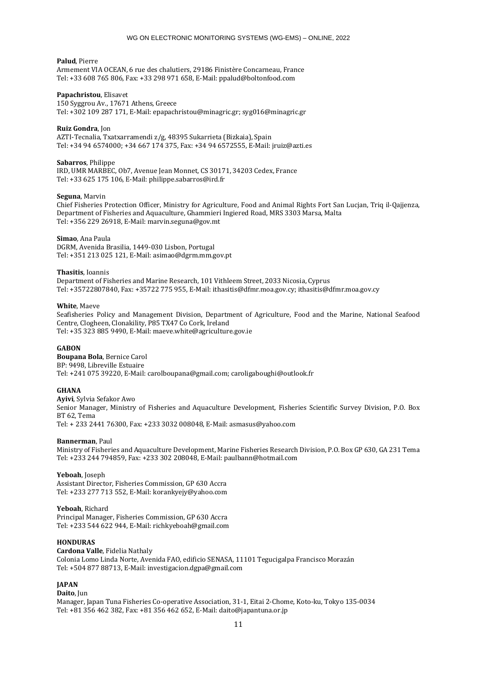### **Palud**, Pierre

Armement VIA OCEAN, 6 rue des chalutiers, 29186 Finistère Concarneau, France Tel: +33 608 765 806, Fax: +33 298 971 658, E-Mail: ppalud@boltonfood.com

### **Papachristou**, Elisavet

150 Syggrou Av., 17671 Athens, Greece Tel: +302 109 287 171, E-Mail: epapachristou@minagric.gr; syg016@minagric.gr

### **Ruiz Gondra**, Jon

AZTI-Tecnalia, Txatxarramendi z/g, 48395 Sukarrieta (Bizkaia), Spain Tel: +34 94 6574000; +34 667 174 375, Fax: +34 94 6572555, E-Mail: jruiz@azti.es

#### **Sabarros**, Philippe

IRD, UMR MARBEC, Ob7, Avenue Jean Monnet, CS 30171, 34203 Cedex, France Tel: +33 625 175 106, E-Mail: philippe.sabarros@ird.fr

#### **Seguna**, Marvin

Chief Fisheries Protection Officer, Ministry for Agriculture, Food and Animal Rights Fort San Lucjan, Triq il-Qajjenza, Department of Fisheries and Aquaculture, Ghammieri Ingiered Road, MRS 3303 Marsa, Malta Tel: +356 229 26918, E-Mail: marvin.seguna@gov.mt

#### **Simao**, Ana Paula

DGRM, Avenida Brasilia, 1449-030 Lisbon, Portugal Tel: +351 213 025 121, E-Mail: asimao@dgrm.mm.gov.pt

#### **Thasitis**, Ioannis

Department of Fisheries and Marine Research, 101 Vithleem Street, 2033 Nicosia, Cyprus Tel: +35722807840, Fax: +35722 775 955, E-Mail: ithasitis@dfmr.moa.gov.cy; ithasitis@dfmr.moa.gov.cy

#### **White**, Maeve

Seafisheries Policy and Management Division, Department of Agriculture, Food and the Marine, National Seafood Centre, Clogheen, Clonakility, P85 TX47 Co Cork, Ireland Tel: +35 323 885 9490, E-Mail: maeve.white@agriculture.gov.ie

### **GABON**

**Boupana Bola**, Bernice Carol BP: 9498, Libreville Estuaire Tel: +241 075 39220, E-Mail: carolboupana@gmail.com; caroligaboughi@outlook.fr

#### **GHANA**

**Ayivi**, Sylvia Sefakor Awo Senior Manager, Ministry of Fisheries and Aquaculture Development, Fisheries Scientific Survey Division, P.O. Box BT 62, Tema Tel: + 233 2441 76300, Fax: +233 3032 008048, E-Mail: asmasus@yahoo.com

### **Bannerman**, Paul

Ministry of Fisheries and Aquaculture Development, Marine Fisheries Research Division, P.O. Box GP 630, GA 231 Tema Tel: +233 244 794859, Fax: +233 302 208048, E-Mail: paulbann@hotmail.com

### **Yeboah**, Joseph

Assistant Director, Fisheries Commission, GP 630 Accra Tel: +233 277 713 552, E-Mail: korankyejy@yahoo.com

#### **Yeboah**, Richard

Principal Manager, Fisheries Commission, GP 630 Accra Tel: +233 544 622 944, E-Mail: richkyeboah@gmail.com

## **HONDURAS**

**Cardona Valle**, Fidelia Nathaly Colonia Lomo Linda Norte, Avenida FAO, edificio SENASA, 11101 Tegucigalpa Francisco Morazán Tel: +504 877 88713, E-Mail: investigacion.dgpa@gmail.com

### **JAPAN**

**Daito**, Jun

Manager, Japan Tuna Fisheries Co-operative Association, 31-1, Eitai 2-Chome, Koto-ku, Tokyo 135-0034 Tel: +81 356 462 382, Fax: +81 356 462 652, E-Mail: daito@japantuna.or.jp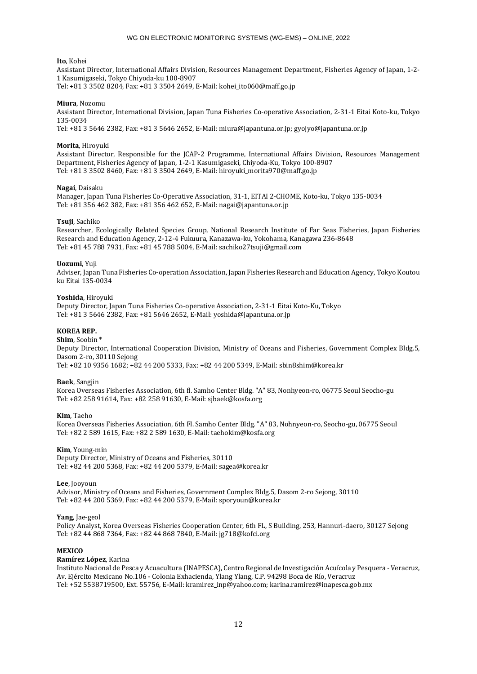### **Ito**, Kohei

Assistant Director, International Affairs Division, Resources Management Department, Fisheries Agency of Japan, 1-2- 1 Kasumigaseki, Tokyo Chiyoda-ku 100-8907

Tel: +81 3 3502 8204, Fax: +81 3 3504 2649, E-Mail: kohei\_ito060@maff.go.jp

### **Miura**, Nozomu

Assistant Director, International Division, Japan Tuna Fisheries Co-operative Association, 2-31-1 Eitai Koto-ku, Tokyo 135-0034

Tel: +81 3 5646 2382, Fax: +81 3 5646 2652, E-Mail: miura@japantuna.or.jp; gyojyo@japantuna.or.jp

#### **Morita**, Hiroyuki

Assistant Director, Responsible for the JCAP-2 Programme, International Affairs Division, Resources Management Department, Fisheries Agency of Japan, 1-2-1 Kasumigaseki, Chiyoda-Ku, Tokyo 100-8907 Tel: +81 3 3502 8460, Fax: +81 3 3504 2649, E-Mail: hiroyuki\_morita970@maff.go.jp

### **Nagai**, Daisaku

Manager, Japan Tuna Fisheries Co-Operative Association, 31-1, EITAI 2-CHOME, Koto-ku, Tokyo 135-0034 Tel: +81 356 462 382, Fax: +81 356 462 652, E-Mail: nagai@japantuna.or.jp

#### **Tsuji**, Sachiko

Researcher, Ecologically Related Species Group, National Research Institute of Far Seas Fisheries, Japan Fisheries Research and Education Agency, 2-12-4 Fukuura, Kanazawa-ku, Yokohama, Kanagawa 236-8648 Tel: +81 45 788 7931, Fax: +81 45 788 5004, E-Mail: sachiko27tsuji@gmail.com

#### **Uozumi**, Yuji

Adviser, Japan Tuna Fisheries Co-operation Association, Japan Fisheries Research and Education Agency, Tokyo Koutou ku Eitai 135-0034

#### **Yoshida**, Hiroyuki

Deputy Director, Japan Tuna Fisheries Co-operative Association, 2-31-1 Eitai Koto-Ku, Tokyo Tel: +81 3 5646 2382, Fax: +81 5646 2652, E-Mail: yoshida@japantuna.or.jp

### **KOREA REP.**

#### **Shim**, Soobin \*

Deputy Director, International Cooperation Division, Ministry of Oceans and Fisheries, Government Complex Bldg.5, Dasom 2-ro, 30110 Sejong

Tel: +82 10 9356 1682; +82 44 200 5333, Fax: +82 44 200 5349, E-Mail: sbin8shim@korea.kr

### **Baek**, Sangjin

Korea Overseas Fisheries Association, 6th fl. Samho Center Bldg. "A" 83, Nonhyeon-ro, 06775 Seoul Seocho-gu Tel: +82 258 91614, Fax: +82 258 91630, E-Mail: sjbaek@kosfa.org

### **Kim**, Taeho

Korea Overseas Fisheries Association, 6th Fl. Samho Center Bldg. "A" 83, Nohnyeon-ro, Seocho-gu, 06775 Seoul Tel: +82 2 589 1615, Fax: +82 2 589 1630, E-Mail: taehokim@kosfa.org

### **Kim**, Young-min

Deputy Director, Ministry of Oceans and Fisheries, 30110 Tel: +82 44 200 5368, Fax: +82 44 200 5379, E-Mail: sagea@korea.kr

#### **Lee**, Jooyoun

Advisor, Ministry of Oceans and Fisheries, Government Complex Bldg.5, Dasom 2-ro Sejong, 30110 Tel: +82 44 200 5369, Fax: +82 44 200 5379, E-Mail: sporyoun@korea.kr

#### **Yang**, Jae-geol

Policy Analyst, Korea Overseas Fisheries Cooperation Center, 6th FL, S Building, 253, Hannuri-daero, 30127 Sejong Tel: +82 44 868 7364, Fax: +82 44 868 7840, E-Mail: jg718@kofci.org

### **MEXICO**

#### **Ramírez López**, Karina

Instituto Nacional de Pesca y Acuacultura (INAPESCA), Centro Regional de Investigación Acuícola y Pesquera - Veracruz, Av. Ejército Mexicano No.106 - Colonia Exhacienda, Ylang Ylang, C.P. 94298 Boca de Río, Veracruz Tel: +52 5538719500, Ext. 55756, E-Mail: kramirez\_inp@yahoo.com; karina.ramirez@inapesca.gob.mx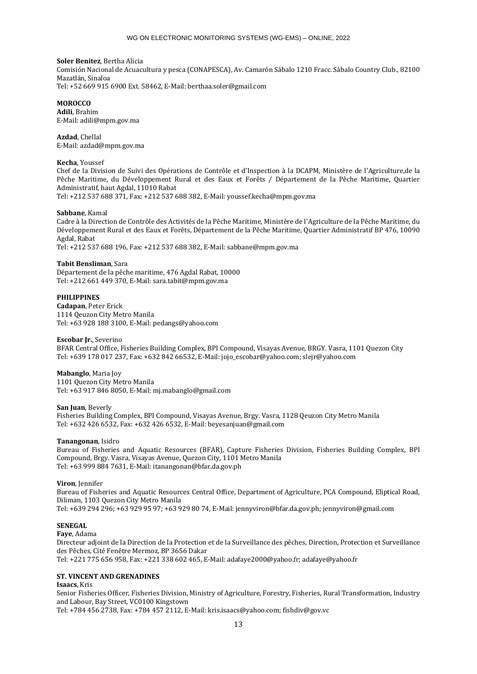### **Soler Benitez**, Bertha Alicia

Comisión Nacional de Acuacultura y pesca (CONAPESCA), Av. Camarón Sábalo 1210 Fracc. Sábalo Country Club., 82100 Mazatlán, Sinaloa

Tel: +52 669 915 6900 Ext. 58462, E-Mail: berthaa.soler@gmail.com

## **MOROCCO Adili**, Brahim

E-Mail: adili@mpm.gov.ma

**Azdad**, Chellal E-Mail: azdad@mpm.gov.ma

## **Kecha**, Youssef

Chef de la Division de Suivi des Opérations de Contrôle et d'Inspection à la DCAPM, Ministère de l'Agriculture,de la Pêche Maritime, du Développement Rural et des Eaux et Forêts / Département de la Pêche Maritime, Quartier Administratif, haut Agdal, 11010 Rabat

Tel: +212 537 688 371, Fax: +212 537 688 382, E-Mail: youssef.kecha@mpm.gov.ma

### **Sabbane**, Kamal

Cadre à la Direction de Contrôle des Activités de la Pêche Maritime, Ministère de l'Agriculture de la Pêche Maritime, du Développement Rural et des Eaux et Forêts, Département de la Pêche Maritime, Quartier Administratif BP 476, 10090 Agdal, Rabat

Tel: +212 537 688 196, Fax: +212 537 688 382, E-Mail: sabbane@mpm.gov.ma

### **Tabit Bensliman**, Sara

Département de la pêche maritime, 476 Agdal Rabat, 10000 Tel: +212 661 449 370, E-Mail: sara.tabit@mpm.gov.ma

### **PHILIPPINES**

**Cadapan**, Peter Erick 1114 Qeuzon City Metro Manila Tel: +63 928 188 3100, E-Mail: pedangs@yahoo.com

### **Escobar Jr.**, Severino

BFAR Central Office, Fisheries Building Complex, BPI Compound, Visayas Avenue, BRGY. Vasra, 1101 Quezon City Tel: +639 178 017 237, Fax: +632 842 66532, E-Mail: jojo\_escobar@yahoo.com; slejr@yahoo.com

### **Mabanglo**, Maria Joy

1101 Quezon City Metro Manila Tel: +63 917 846 8050, E-Mail: mj.mabanglo@gmail.com

### **San Juan**, Beverly

Fisheries Building Complex, BPI Compound, Visayas Avenue, Brgy. Vasra, 1128 Qeuzon City Metro Manila Tel: +632 426 6532, Fax: +632 426 6532, E-Mail: beyesanjuan@gmail.com

### **Tanangonan**, Isidro

Bureau of Fisheries and Aquatic Resources (BFAR), Capture Fisheries Division, Fisheries Building Complex, BPI Compound, Brgy. Vasra, Visayas Avenue, Quezon City, 1101 Metro Manila Tel: +63 999 884 7631, E-Mail: itanangonan@bfar.da.gov.ph

### **Viron**, Jennifer

Bureau of Fisheries and Aquatic Resources Central Office, Department of Agriculture, PCA Compound, Eliptical Road, Diliman, 1103 Quezon City Metro Manila

Tel: +639 294 296; +63 929 95 97; +63 929 80 74, E-Mail: jennyviron@bfar.da.gov.ph; jennyviron@gmail.com

### **SENEGAL**

### **Faye**, Adama

Directeur adjoint de la Direction de la Protection et de la Surveillance des pêches, Direction, Protection et Surveillance des Pêches, Cité Fenêtre Mermoz, BP 3656 Dakar

Tel: +221 775 656 958, Fax: +221 338 602 465, E-Mail: adafaye2000@yahoo.fr; adafaye@yahoo.fr

# **ST. VINCENT AND GRENADINES**

### **Isaacs**, Kris

Senior Fisheries Officer, Fisheries Division, Ministry of Agriculture, Forestry, Fisheries, Rural Transformation, Industry and Labour, Bay Street, VC0100 Kingstown

Tel: +784 456 2738, Fax: +784 457 2112, E-Mail: kris.isaacs@yahoo.com; fishdiv@gov.vc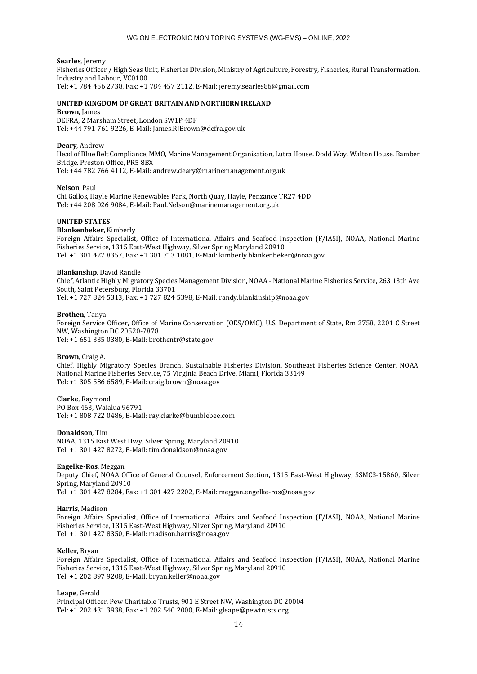### **Searles**, Jeremy

Fisheries Officer / High Seas Unit, Fisheries Division, Ministry of Agriculture, Forestry, Fisheries, Rural Transformation, Industry and Labour, VC0100 Tel: +1 784 456 2738, Fax: +1 784 457 2112, E-Mail: jeremy.searles86@gmail.com

#### **UNITED KINGDOM OF GREAT BRITAIN AND NORTHERN IRELAND**

#### **Brown**, James

DEFRA, 2 Marsham Street, London SW1P 4DF Tel: +44 791 761 9226, E-Mail: James.RJBrown@defra.gov.uk

### **Deary**, Andrew

Head of Blue Belt Compliance, MMO, Marine Management Organisation, Lutra House. Dodd Way. Walton House. Bamber Bridge. Preston Office, PR5 8BX Tel: +44 782 766 4112, E-Mail: andrew.deary@marinemanagement.org.uk

#### **Nelson**, Paul

Chi Gallos, Hayle Marine Renewables Park, North Quay, Hayle, Penzance TR27 4DD Tel: +44 208 026 9084, E-Mail: Paul.Nelson@marinemanagement.org.uk

### **UNITED STATES**

### **Blankenbeker**, Kimberly

Foreign Affairs Specialist, Office of International Affairs and Seafood Inspection (F/IASI), NOAA, National Marine Fisheries Service, 1315 East-West Highway, Silver Spring Maryland 20910 Tel: +1 301 427 8357, Fax: +1 301 713 1081, E-Mail: kimberly.blankenbeker@noaa.gov

#### **Blankinship**, David Randle

Chief, Atlantic Highly Migratory Species Management Division, NOAA - National Marine Fisheries Service, 263 13th Ave South, Saint Petersburg, Florida 33701 Tel: +1 727 824 5313, Fax: +1 727 824 5398, E-Mail: randy.blankinship@noaa.gov

#### **Brothen**, Tanya

Foreign Service Officer, Office of Marine Conservation (OES/OMC), U.S. Department of State, Rm 2758, 2201 C Street NW, Washington DC 20520-7878 Tel: +1 651 335 0380, E-Mail: brothentr@state.gov

### **Brown**, Craig A.

Chief, Highly Migratory Species Branch, Sustainable Fisheries Division, Southeast Fisheries Science Center, NOAA, National Marine Fisheries Service, 75 Virginia Beach Drive, Miami, Florida 33149 Tel: +1 305 586 6589, E-Mail: craig.brown@noaa.gov

#### **Clarke**, Raymond

PO Box 463, Waialua 96791 Tel: +1 808 722 0486, E-Mail: ray.clarke@bumblebee.com

#### **Donaldson**, Tim

NOAA, 1315 East West Hwy, Silver Spring, Maryland 20910 Tel: +1 301 427 8272, E-Mail: tim.donaldson@noaa.gov

#### **Engelke-Ros**, Meggan

Deputy Chief, NOAA Office of General Counsel, Enforcement Section, 1315 East-West Highway, SSMC3-15860, Silver Spring, Maryland 20910

Tel: +1 301 427 8284, Fax: +1 301 427 2202, E-Mail: meggan.engelke-ros@noaa.gov

#### **Harris**, Madison

Foreign Affairs Specialist, Office of International Affairs and Seafood Inspection (F/IASI), NOAA, National Marine Fisheries Service, 1315 East-West Highway, Silver Spring, Maryland 20910 Tel: +1 301 427 8350, E-Mail: madison.harris@noaa.gov

### **Keller**, Bryan

Foreign Affairs Specialist, Office of International Affairs and Seafood Inspection (F/IASI), NOAA, National Marine Fisheries Service, 1315 East-West Highway, Silver Spring, Maryland 20910 Tel: +1 202 897 9208, E-Mail: bryan.keller@noaa.gov

### **Leape**, Gerald

Principal Officer, Pew Charitable Trusts, 901 E Street NW, Washington DC 20004 Tel: +1 202 431 3938, Fax: +1 202 540 2000, E-Mail: gleape@pewtrusts.org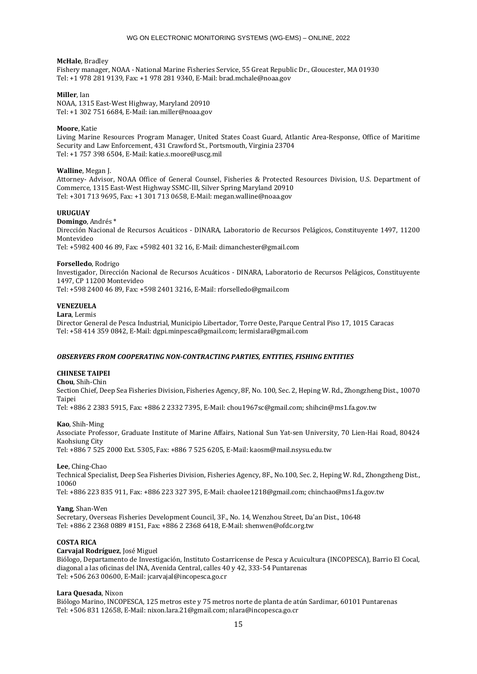### **McHale**, Bradley

Fishery manager, NOAA - National Marine Fisheries Service, 55 Great Republic Dr., Gloucester, MA 01930 Tel: +1 978 281 9139, Fax: +1 978 281 9340, E-Mail: brad.mchale@noaa.gov

### **Miller**, Ian

NOAA, 1315 East-West Highway, Maryland 20910 Tel: +1 302 751 6684, E-Mail: ian.miller@noaa.gov

### **Moore**, Katie

Living Marine Resources Program Manager, United States Coast Guard, Atlantic Area-Response, Office of Maritime Security and Law Enforcement, 431 Crawford St., Portsmouth, Virginia 23704 Tel: +1 757 398 6504, E-Mail: katie.s.moore@uscg.mil

### **Walline**, Megan J.

Attorney- Advisor, NOAA Office of General Counsel, Fisheries & Protected Resources Division, U.S. Department of Commerce, 1315 East-West Highway SSMC-III, Silver Spring Maryland 20910 Tel: +301 713 9695, Fax: +1 301 713 0658, E-Mail: megan.walline@noaa.gov

### **URUGUAY**

**Domingo**, Andrés \*

Dirección Nacional de Recursos Acuáticos - DINARA, Laboratorio de Recursos Pelágicos, Constituyente 1497, 11200 Montevideo

Tel: +5982 400 46 89, Fax: +5982 401 32 16, E-Mail: dimanchester@gmail.com

### **Forselledo**, Rodrigo

Investigador, Dirección Nacional de Recursos Acuáticos - DINARA, Laboratorio de Recursos Pelágicos, Constituyente 1497, CP 11200 Montevideo

Tel: +598 2400 46 89, Fax: +598 2401 3216, E-Mail: rforselledo@gmail.com

### **VENEZUELA**

**Lara**, Lermis

Director General de Pesca Industrial, Municipio Libertador, Torre Oeste, Parque Central Piso 17, 1015 Caracas Tel: +58 414 359 0842, E-Mail: dgpi.minpesca@gmail.com; lermislara@gmail.com

### *OBSERVERS FROM COOPERATING NON-CONTRACTING PARTIES, ENTITIES, FISHING ENTITIES*

### **CHINESE TAIPEI**

**Chou**, Shih-Chin

Section Chief, Deep Sea Fisheries Division, Fisheries Agency, 8F, No. 100, Sec. 2, Heping W. Rd., Zhongzheng Dist., 10070 Taipei

Tel: +886 2 2383 5915, Fax: +886 2 2332 7395, E-Mail: chou1967sc@gmail.com; shihcin@ms1.fa.gov.tw

### **Kao**, Shih-Ming

Associate Professor, Graduate Institute of Marine Affairs, National Sun Yat-sen University, 70 Lien-Hai Road, 80424 Kaohsiung City Tel: +886 7 525 2000 Ext. 5305, Fax: +886 7 525 6205, E-Mail: kaosm@mail.nsysu.edu.tw

**Lee**, Ching-Chao

Technical Specialist, Deep Sea Fisheries Division, Fisheries Agency, 8F., No.100, Sec. 2, Heping W. Rd., Zhongzheng Dist., 10060

Tel: +886 223 835 911, Fax: +886 223 327 395, E-Mail: chaolee1218@gmail.com; chinchao@ms1.fa.gov.tw

### **Yang**, Shan-Wen

Secretary, Overseas Fisheries Development Council, 3F., No. 14, Wenzhou Street, Da'an Dist., 10648 Tel: +886 2 2368 0889 #151, Fax: +886 2 2368 6418, E-Mail: shenwen@ofdc.org.tw

### **COSTA RICA**

**Carvajal Rodríguez**, José Miguel

Biólogo, Departamento de Investigación, Instituto Costarricense de Pesca y Acuicultura (INCOPESCA), Barrio El Cocal, diagonal a las oficinas del INA, Avenida Central, calles 40 y 42, 333-54 Puntarenas Tel: +506 263 00600, E-Mail: jcarvajal@incopesca.go.cr

### **Lara Quesada**, Nixon

Biólogo Marino, INCOPESCA, 125 metros este y 75 metros norte de planta de atún Sardimar, 60101 Puntarenas Tel: +506 831 12658, E-Mail: nixon.lara.21@gmail.com; nlara@incopesca.go.cr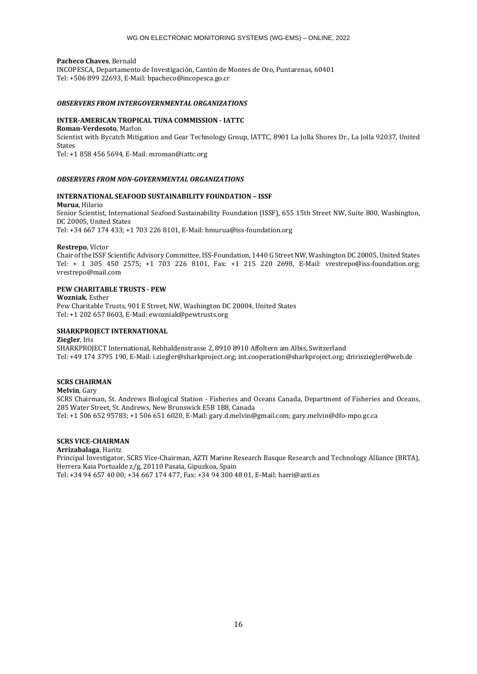### **Pacheco Chaves**, Bernald

INCOPESCA, Departamento de Investigación, Cantón de Montes de Oro, Puntarenas, 60401 Tel: +506 899 22693, E-Mail: bpacheco@incopesca.go.cr

### *OBSERVERS FROM INTERGOVERNMENTAL ORGANIZATIONS*

#### **INTER-AMERICAN TROPICAL TUNA COMMISSION - IATTC**

**Roman-Verdesoto**, Marlon Scientist with Bycatch Mitigation and Gear Technology Group, IATTC, 8901 La Jolla Shores Dr., La Jolla 92037, United States

Tel: +1 858 456 5694, E-Mail: mroman@iattc.org

#### *OBSERVERS FROM NON-GOVERNMENTAL ORGANIZATIONS*

# **INTERNATIONAL SEAFOOD SUSTAINABILITY FOUNDATION – ISSF**

**Murua**, Hilario Senior Scientist, International Seafood Sustainability Foundation (ISSF), 655 15th Street NW, Suite 800, Washington, DC 20005, United States Tel: +34 667 174 433; +1 703 226 8101, E-Mail: hmurua@iss-foundation.org

#### **Restrepo**, Víctor

Chair of the ISSF Scientific Advisory Committee, ISS-Foundation, 1440 G Street NW, Washington DC 20005, United States Tel: + 1 305 450 2575; +1 703 226 8101, Fax: +1 215 220 2698, E-Mail: vrestrepo@iss-foundation.org; vrestrepo@mail.com

### **PEW CHARITABLE TRUSTS - PEW**

#### **Wozniak**, Esther

Pew Charitable Trusts, 901 E Street, NW, Washington DC 20004, United States Tel: +1 202 657 8603, E-Mail: ewozniak@pewtrusts.org

### **SHARKPROJECT INTERNATIONAL**

### **Ziegler**, Iris

SHARKPROJECT International, Rebhaldenstrasse 2, 8910 8910 Affoltern am Albis, Switzerland Tel: +49 174 3795 190, E-Mail: i.ziegler@sharkproject.org; int.cooperation@sharkproject.org; dririsziegler@web.de

### **SCRS CHAIRMAN**

#### **Melvin**, Gary

SCRS Chairman, St. Andrews Biological Station - Fisheries and Oceans Canada, Department of Fisheries and Oceans, 285 Water Street, St. Andrews, New Brunswick E5B 1B8, Canada Tel: +1 506 652 95783; +1 506 651 6020, E-Mail: gary.d.melvin@gmail.com; gary.melvin@dfo-mpo.gc.ca

### **SCRS VICE-CHAIRMAN**

**Arrizabalaga**, Haritz Principal Investigator, SCRS Vice-Chairman, AZTI Marine Research Basque Research and Technology Alliance (BRTA), Herrera Kaia Portualde z/g, 20110 Pasaia, Gipuzkoa, Spain Tel: +34 94 657 40 00; +34 667 174 477, Fax: +34 94 300 48 01, E-Mail: harri@azti.es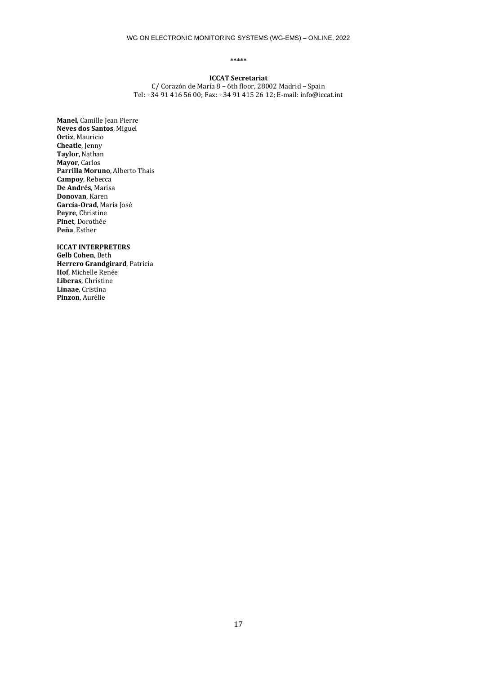### **\*\*\*\*\***

### **ICCAT Secretariat** C/ Corazón de María 8 – 6th floor, 28002 Madrid – Spain Tel: +34 91 416 56 00; Fax: +34 91 415 26 12; E-mail: info@iccat.int

**Manel**, Camille Jean Pierre **Neves dos Santos**, Miguel **Ortiz**, Mauricio **Cheatle**, Jenny **Taylor**, Nathan **Mayor**, Carlos **Parrilla Moruno**, Alberto Thais **Campoy**, Rebecca **De Andrés**, Marisa **Donovan**, Karen **García-Orad**, María José **Peyre**, Christine **Pinet**, Dorothée **Peña**, Esther

**ICCAT INTERPRETERS Gelb Cohen**, Beth **Herrero Grandgirard**, Patricia **Hof**, Michelle Renée **Liberas**, Christine **Linaae**, Cristina **Pinzon**, Aurélie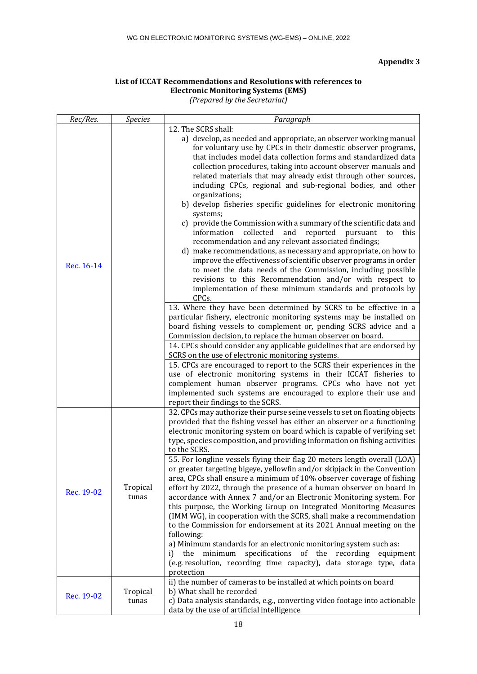# **List of ICCAT Recommendations and Resolutions with references to Electronic Monitoring Systems (EMS)** *(Prepared by the Secretariat)*

| Rec/Res.   | <b>Species</b>    | Paragraph                                                                                                                     |  |
|------------|-------------------|-------------------------------------------------------------------------------------------------------------------------------|--|
|            |                   | 12. The SCRS shall:                                                                                                           |  |
|            |                   | a) develop, as needed and appropriate, an observer working manual                                                             |  |
|            |                   | for voluntary use by CPCs in their domestic observer programs,                                                                |  |
|            |                   | that includes model data collection forms and standardized data                                                               |  |
|            |                   | collection procedures, taking into account observer manuals and                                                               |  |
|            |                   | related materials that may already exist through other sources,                                                               |  |
|            |                   | including CPCs, regional and sub-regional bodies, and other                                                                   |  |
|            |                   | organizations;                                                                                                                |  |
|            |                   | b) develop fisheries specific guidelines for electronic monitoring                                                            |  |
|            |                   | systems;                                                                                                                      |  |
|            |                   | c) provide the Commission with a summary of the scientific data and                                                           |  |
|            |                   | collected<br>information<br>and<br>reported<br>pursuant<br>to<br>this<br>recommendation and any relevant associated findings; |  |
|            |                   | d) make recommendations, as necessary and appropriate, on how to                                                              |  |
|            |                   | improve the effectiveness of scientific observer programs in order                                                            |  |
| Rec. 16-14 |                   | to meet the data needs of the Commission, including possible                                                                  |  |
|            |                   | revisions to this Recommendation and/or with respect to                                                                       |  |
|            |                   | implementation of these minimum standards and protocols by                                                                    |  |
|            |                   | CPCs.                                                                                                                         |  |
|            |                   | 13. Where they have been determined by SCRS to be effective in a                                                              |  |
|            |                   | particular fishery, electronic monitoring systems may be installed on                                                         |  |
|            |                   | board fishing vessels to complement or, pending SCRS advice and a                                                             |  |
|            |                   | Commission decision, to replace the human observer on board.                                                                  |  |
|            |                   | 14. CPCs should consider any applicable guidelines that are endorsed by                                                       |  |
|            |                   | SCRS on the use of electronic monitoring systems.                                                                             |  |
|            |                   | 15. CPCs are encouraged to report to the SCRS their experiences in the                                                        |  |
|            |                   | use of electronic monitoring systems in their ICCAT fisheries to                                                              |  |
|            |                   | complement human observer programs. CPCs who have not yet                                                                     |  |
|            |                   | implemented such systems are encouraged to explore their use and                                                              |  |
|            |                   | report their findings to the SCRS.                                                                                            |  |
|            |                   | 32. CPCs may authorize their purse seine vessels to set on floating objects                                                   |  |
|            |                   | provided that the fishing vessel has either an observer or a functioning                                                      |  |
|            |                   | electronic monitoring system on board which is capable of verifying set                                                       |  |
|            |                   | type, species composition, and providing information on fishing activities                                                    |  |
|            |                   | to the SCRS.                                                                                                                  |  |
| Rec. 19-02 |                   | 55. For longline vessels flying their flag 20 meters length overall (LOA)                                                     |  |
|            |                   | or greater targeting bigeye, yellowfin and/or skipjack in the Convention                                                      |  |
|            |                   | area, CPCs shall ensure a minimum of 10% observer coverage of fishing                                                         |  |
|            | Tropical          | effort by 2022, through the presence of a human observer on board in                                                          |  |
|            | tunas             | accordance with Annex 7 and/or an Electronic Monitoring system. For                                                           |  |
|            |                   | this purpose, the Working Group on Integrated Monitoring Measures                                                             |  |
|            |                   | (IMM WG), in cooperation with the SCRS, shall make a recommendation                                                           |  |
|            |                   | to the Commission for endorsement at its 2021 Annual meeting on the                                                           |  |
|            |                   | following:                                                                                                                    |  |
|            |                   | a) Minimum standards for an electronic monitoring system such as:                                                             |  |
|            |                   | specifications<br>of the recording<br>i) the minimum<br>equipment                                                             |  |
|            |                   | (e.g. resolution, recording time capacity), data storage type, data<br>protection                                             |  |
|            |                   | ii) the number of cameras to be installed at which points on board                                                            |  |
| Rec. 19-02 | Tropical<br>tunas | b) What shall be recorded                                                                                                     |  |
|            |                   | c) Data analysis standards, e.g., converting video footage into actionable                                                    |  |
|            |                   | data by the use of artificial intelligence                                                                                    |  |
|            |                   |                                                                                                                               |  |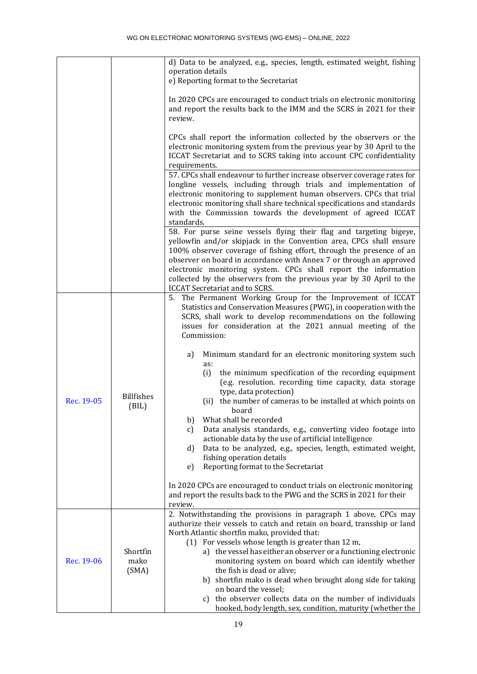|            |                            | d) Data to be analyzed, e.g., species, length, estimated weight, fishing<br>operation details<br>e) Reporting format to the Secretariat                                                                                                                                                                                                                                                                                                                                       |  |  |
|------------|----------------------------|-------------------------------------------------------------------------------------------------------------------------------------------------------------------------------------------------------------------------------------------------------------------------------------------------------------------------------------------------------------------------------------------------------------------------------------------------------------------------------|--|--|
|            |                            | In 2020 CPCs are encouraged to conduct trials on electronic monitoring<br>and report the results back to the IMM and the SCRS in 2021 for their<br>review.                                                                                                                                                                                                                                                                                                                    |  |  |
|            |                            | CPCs shall report the information collected by the observers or the<br>electronic monitoring system from the previous year by 30 April to the<br>ICCAT Secretariat and to SCRS taking into account CPC confidentiality<br>requirements.                                                                                                                                                                                                                                       |  |  |
|            |                            | 57. CPCs shall endeavour to further increase observer coverage rates for<br>longline vessels, including through trials and implementation of<br>electronic monitoring to supplement human observers. CPCs that trial<br>electronic monitoring shall share technical specifications and standards<br>with the Commission towards the development of agreed ICCAT<br>standards.                                                                                                 |  |  |
|            |                            | 58. For purse seine vessels flying their flag and targeting bigeye,<br>yellowfin and/or skipjack in the Convention area, CPCs shall ensure<br>100% observer coverage of fishing effort, through the presence of an<br>observer on board in accordance with Annex 7 or through an approved<br>electronic monitoring system. CPCs shall report the information<br>collected by the observers from the previous year by 30 April to the<br><b>ICCAT Secretariat and to SCRS.</b> |  |  |
| Rec. 19-05 | <b>Billfishes</b><br>(BIL) | 5. The Permanent Working Group for the Improvement of ICCAT<br>Statistics and Conservation Measures (PWG), in cooperation with the<br>SCRS, shall work to develop recommendations on the following<br>issues for consideration at the 2021 annual meeting of the<br>Commission:                                                                                                                                                                                               |  |  |
|            |                            | Minimum standard for an electronic monitoring system such<br>a)<br>as:<br>(i)<br>the minimum specification of the recording equipment<br>(e.g. resolution. recording time capacity, data storage<br>type, data protection)                                                                                                                                                                                                                                                    |  |  |
|            |                            | (ii) the number of cameras to be installed at which points on<br>board                                                                                                                                                                                                                                                                                                                                                                                                        |  |  |
|            |                            | What shall be recorded<br>b)<br>Data analysis standards, e.g., converting video footage into<br>c)<br>actionable data by the use of artificial intelligence<br>Data to be analyzed, e.g., species, length, estimated weight,<br>d)<br>fishing operation details<br>Reporting format to the Secretariat<br>e)                                                                                                                                                                  |  |  |
|            |                            | In 2020 CPCs are encouraged to conduct trials on electronic monitoring<br>and report the results back to the PWG and the SCRS in 2021 for their<br>review.                                                                                                                                                                                                                                                                                                                    |  |  |
| Rec. 19-06 | Shortfin<br>mako<br>(SMA)  | 2. Notwithstanding the provisions in paragraph 1 above, CPCs may<br>authorize their vessels to catch and retain on board, transship or land<br>North Atlantic shortfin mako, provided that:<br>(1) For vessels whose length is greater than 12 m,                                                                                                                                                                                                                             |  |  |
|            |                            | a) the vessel has either an observer or a functioning electronic<br>monitoring system on board which can identify whether<br>the fish is dead or alive;<br>b) shortfin mako is dead when brought along side for taking<br>on board the vessel;                                                                                                                                                                                                                                |  |  |
|            |                            | c) the observer collects data on the number of individuals<br>hooked, body length, sex, condition, maturity (whether the                                                                                                                                                                                                                                                                                                                                                      |  |  |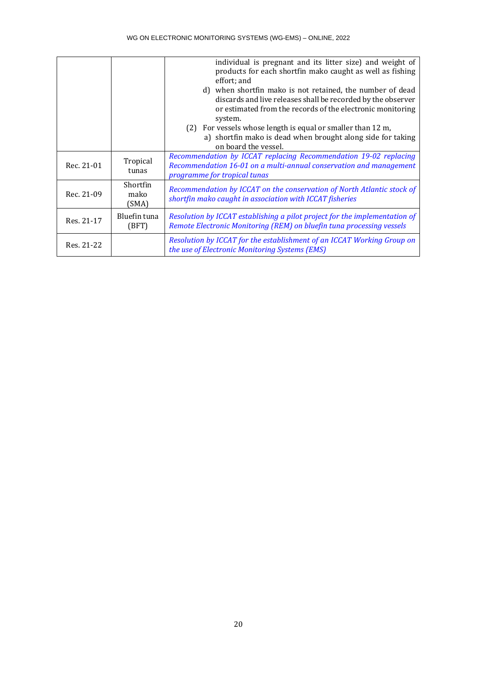|            |                           | individual is pregnant and its litter size) and weight of<br>products for each shortfin mako caught as well as fishing<br>effort; and<br>d) when shortfin mako is not retained, the number of dead<br>discards and live releases shall be recorded by the observer<br>or estimated from the records of the electronic monitoring<br>system.<br>(2) For vessels whose length is equal or smaller than 12 m,<br>a) shortfin mako is dead when brought along side for taking<br>on board the vessel. |  |
|------------|---------------------------|---------------------------------------------------------------------------------------------------------------------------------------------------------------------------------------------------------------------------------------------------------------------------------------------------------------------------------------------------------------------------------------------------------------------------------------------------------------------------------------------------|--|
| Rec. 21-01 | Tropical<br>tunas         | Recommendation by ICCAT replacing Recommendation 19-02 replacing<br>Recommendation 16-01 on a multi-annual conservation and management<br>programme for tropical tunas                                                                                                                                                                                                                                                                                                                            |  |
| Rec. 21-09 | Shortfin<br>mako<br>(SMA) | Recommendation by ICCAT on the conservation of North Atlantic stock of<br>shortfin mako caught in association with ICCAT fisheries                                                                                                                                                                                                                                                                                                                                                                |  |
| Res. 21-17 | Bluefin tuna<br>(BFT)     | Resolution by ICCAT establishing a pilot project for the implementation of<br>Remote Electronic Monitoring (REM) on bluefin tuna processing vessels                                                                                                                                                                                                                                                                                                                                               |  |
| Res. 21-22 |                           | Resolution by ICCAT for the establishment of an ICCAT Working Group on<br>the use of Electronic Monitoring Systems (EMS)                                                                                                                                                                                                                                                                                                                                                                          |  |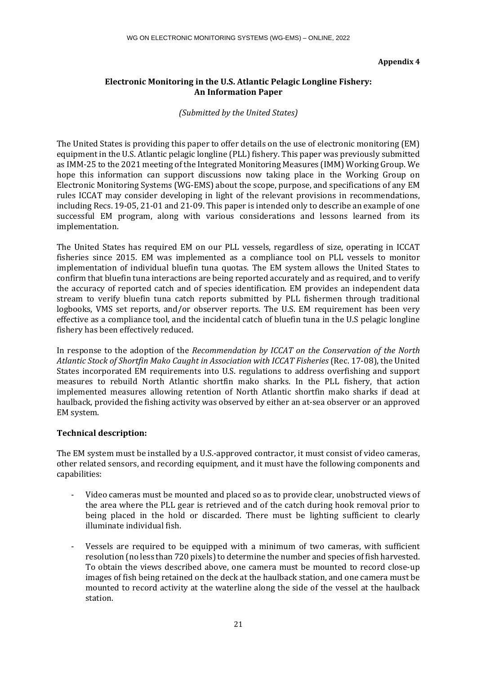**Appendix 4**

# **Electronic Monitoring in the U.S. Atlantic Pelagic Longline Fishery: An Information Paper**

# *(Submitted by the United States)*

The United States is providing this paper to offer details on the use of electronic monitoring (EM) equipment in the U.S. Atlantic pelagic longline (PLL) fishery. This paper was previously submitted as IMM-25 to the 2021 meeting of the Integrated Monitoring Measures (IMM) Working Group. We hope this information can support discussions now taking place in the Working Group on Electronic Monitoring Systems (WG-EMS) about the scope, purpose, and specifications of any EM rules ICCAT may consider developing in light of the relevant provisions in recommendations, including Recs. 19-05, 21-01 and 21-09. This paper is intended only to describe an example of one successful EM program, along with various considerations and lessons learned from its implementation.

The United States has required EM on our PLL vessels, regardless of size, operating in ICCAT fisheries since 2015. EM was implemented as a compliance tool on PLL vessels to monitor implementation of individual bluefin tuna quotas. The EM system allows the United States to confirm that bluefin tuna interactions are being reported accurately and as required, and to verify the accuracy of reported catch and of species identification. EM provides an independent data stream to verify bluefin tuna catch reports submitted by PLL fishermen through traditional logbooks, VMS set reports, and/or observer reports. The U.S. EM requirement has been very effective as a compliance tool, and the incidental catch of bluefin tuna in the U.S pelagic longline fishery has been effectively reduced.

In response to the adoption of the *Recommendation by ICCAT on the Conservation of the North Atlantic Stock of Shortfin Mako Caught in Association with ICCAT Fisheries* (Rec. 17-08), the United States incorporated EM requirements into U.S. regulations to address overfishing and support measures to rebuild North Atlantic shortfin mako sharks. In the PLL fishery, that action implemented measures allowing retention of North Atlantic shortfin mako sharks if dead at haulback, provided the fishing activity was observed by either an at-sea observer or an approved EM system.

# **Technical description:**

The EM system must be installed by a U.S.-approved contractor, it must consist of video cameras, other related sensors, and recording equipment, and it must have the following components and capabilities:

- Video cameras must be mounted and placed so as to provide clear, unobstructed views of the area where the PLL gear is retrieved and of the catch during hook removal prior to being placed in the hold or discarded. There must be lighting sufficient to clearly illuminate individual fish.
- Vessels are required to be equipped with a minimum of two cameras, with sufficient resolution (no less than 720 pixels) to determine the number and species of fish harvested. To obtain the views described above, one camera must be mounted to record close-up images of fish being retained on the deck at the haulback station, and one camera must be mounted to record activity at the waterline along the side of the vessel at the haulback station.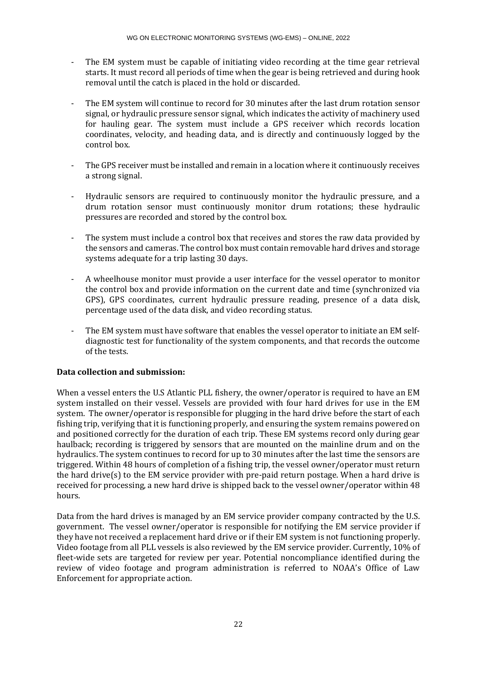- The EM system must be capable of initiating video recording at the time gear retrieval starts. It must record all periods of time when the gear is being retrieved and during hook removal until the catch is placed in the hold or discarded.
- The EM system will continue to record for 30 minutes after the last drum rotation sensor signal, or hydraulic pressure sensor signal, which indicates the activity of machinery used for hauling gear. The system must include a GPS receiver which records location coordinates, velocity, and heading data, and is directly and continuously logged by the control box.
- The GPS receiver must be installed and remain in a location where it continuously receives a strong signal.
- Hydraulic sensors are required to continuously monitor the hydraulic pressure, and a drum rotation sensor must continuously monitor drum rotations; these hydraulic pressures are recorded and stored by the control box.
- The system must include a control box that receives and stores the raw data provided by the sensors and cameras. The control box must contain removable hard drives and storage systems adequate for a trip lasting 30 days.
- A wheelhouse monitor must provide a user interface for the vessel operator to monitor the control box and provide information on the current date and time (synchronized via GPS), GPS coordinates, current hydraulic pressure reading, presence of a data disk, percentage used of the data disk, and video recording status.
- The EM system must have software that enables the vessel operator to initiate an EM selfdiagnostic test for functionality of the system components, and that records the outcome of the tests.

# **Data collection and submission:**

When a vessel enters the U.S Atlantic PLL fishery, the owner/operator is required to have an EM system installed on their vessel. Vessels are provided with four hard drives for use in the EM system. The owner/operator is responsible for plugging in the hard drive before the start of each fishing trip, verifying that it is functioning properly, and ensuring the system remains powered on and positioned correctly for the duration of each trip. These EM systems record only during gear haulback; recording is triggered by sensors that are mounted on the mainline drum and on the hydraulics. The system continues to record for up to 30 minutes after the last time the sensors are triggered. Within 48 hours of completion of a fishing trip, the vessel owner/operator must return the hard drive(s) to the EM service provider with pre-paid return postage. When a hard drive is received for processing, a new hard drive is shipped back to the vessel owner/operator within 48 hours.

Data from the hard drives is managed by an EM service provider company contracted by the U.S. government. The vessel owner/operator is responsible for notifying the EM service provider if they have not received a replacement hard drive or if their EM system is not functioning properly. Video footage from all PLL vessels is also reviewed by the EM service provider. Currently, 10% of fleet-wide sets are targeted for review per year. Potential noncompliance identified during the review of video footage and program administration is referred to NOAA's Office of Law Enforcement for appropriate action.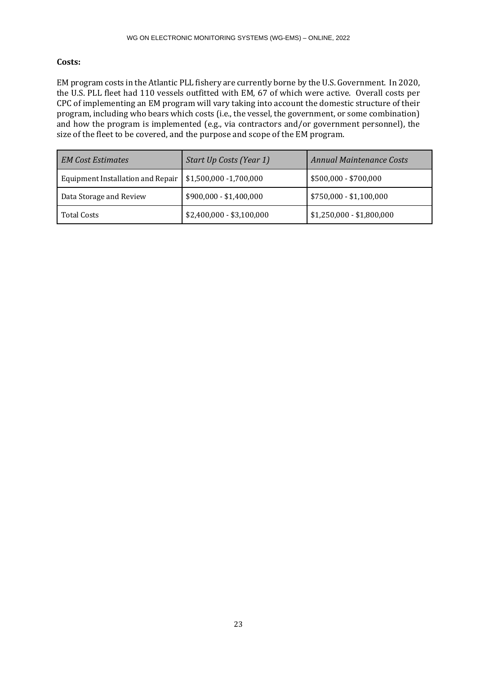# **Costs:**

EM program costs in the Atlantic PLL fishery are currently borne by the U.S. Government. In 2020, the U.S. PLL fleet had 110 vessels outfitted with EM, 67 of which were active. Overall costs per CPC of implementing an EM program will vary taking into account the domestic structure of their program, including who bears which costs (i.e., the vessel, the government, or some combination) and how the program is implemented (e.g., via contractors and/or government personnel), the size of the fleet to be covered, and the purpose and scope of the EM program.

| <b>EM Cost Estimates</b>                 | Start Up Costs (Year 1)   | <b>Annual Maintenance Costs</b> |
|------------------------------------------|---------------------------|---------------------------------|
| <b>Equipment Installation and Repair</b> | \$1,500,000 - 1,700,000   | \$500,000 - \$700,000           |
| Data Storage and Review                  | \$900,000 - \$1,400,000   | \$750,000 - \$1,100,000         |
| <b>Total Costs</b>                       | $$2,400,000 - $3,100,000$ | $$1,250,000 - $1,800,000$       |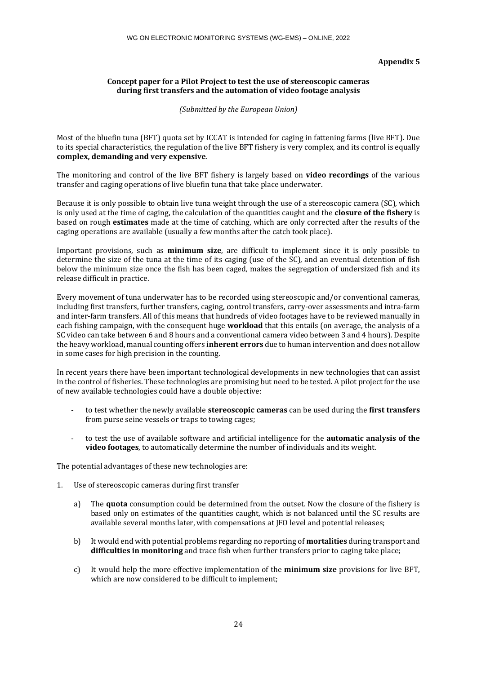**Appendix 5**

# **Concept paper for a Pilot Project to test the use of stereoscopic cameras during first transfers and the automation of video footage analysis**

*(Submitted by the European Union)*

Most of the bluefin tuna (BFT) quota set by ICCAT is intended for caging in fattening farms (live BFT). Due to its special characteristics, the regulation of the live BFT fishery is very complex, and its control is equally **complex, demanding and very expensive**.

The monitoring and control of the live BFT fishery is largely based on **video recordings** of the various transfer and caging operations of live bluefin tuna that take place underwater.

Because it is only possible to obtain live tuna weight through the use of a stereoscopic camera (SC), which is only used at the time of caging, the calculation of the quantities caught and the **closure of the fishery** is based on rough **estimates** made at the time of catching, which are only corrected after the results of the caging operations are available (usually a few months after the catch took place).

Important provisions, such as **minimum size**, are difficult to implement since it is only possible to determine the size of the tuna at the time of its caging (use of the SC), and an eventual detention of fish below the minimum size once the fish has been caged, makes the segregation of undersized fish and its release difficult in practice.

Every movement of tuna underwater has to be recorded using stereoscopic and/or conventional cameras, including first transfers, further transfers, caging, control transfers, carry-over assessments and intra-farm and inter-farm transfers. All of this means that hundreds of video footages have to be reviewed manually in each fishing campaign, with the consequent huge **workload** that this entails (on average, the analysis of a SC video can take between 6 and 8 hours and a conventional camera video between 3 and 4 hours). Despite the heavy workload, manual counting offers **inherent errors** due to human intervention and does not allow in some cases for high precision in the counting.

In recent years there have been important technological developments in new technologies that can assist in the control of fisheries. These technologies are promising but need to be tested. A pilot project for the use of new available technologies could have a double objective:

- to test whether the newly available **stereoscopic cameras** can be used during the **first transfers** from purse seine vessels or traps to towing cages;
- to test the use of available software and artificial intelligence for the **automatic analysis of the video footages**, to automatically determine the number of individuals and its weight.

The potential advantages of these new technologies are:

- 1. Use of stereoscopic cameras during first transfer
	- a) The **quota** consumption could be determined from the outset. Now the closure of the fishery is based only on estimates of the quantities caught, which is not balanced until the SC results are available several months later, with compensations at JFO level and potential releases;
	- b) It would end with potential problems regarding no reporting of **mortalities** during transport and **difficulties in monitoring** and trace fish when further transfers prior to caging take place;
	- c) It would help the more effective implementation of the **minimum size** provisions for live BFT, which are now considered to be difficult to implement;